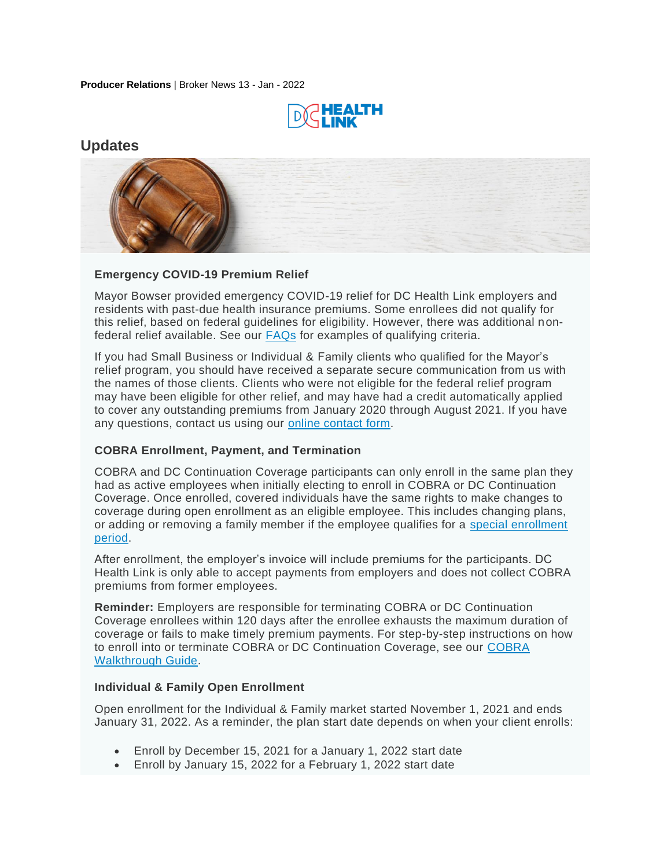**Producer Relations** | Broker News 13 - Jan - 2022



# **Updates**



### **Emergency COVID-19 Premium Relief**

Mayor Bowser provided emergency COVID-19 relief for DC Health Link employers and residents with past-due health insurance premiums. Some enrollees did not qualify for this relief, based on federal guidelines for eligibility. However, there was additional nonfederal relief available. See our [FAQs](https://www.dchealthlink.com/coronavirus/americanrescueplan) for examples of qualifying criteria.

If you had Small Business or Individual & Family clients who qualified for the Mayor's relief program, you should have received a separate secure communication from us with the names of those clients. Clients who were not eligible for the federal relief program may have been eligible for other relief, and may have had a credit automatically applied to cover any outstanding premiums from January 2020 through August 2021. If you have any questions, contact us using our [online contact form.](https://www.dchealthlink.com/help#Broker|form)

### **COBRA Enrollment, Payment, and Termination**

COBRA and DC Continuation Coverage participants can only enroll in the same plan they had as active employees when initially electing to enroll in COBRA or DC Continuation Coverage. Once enrolled, covered individuals have the same rights to make changes to coverage during open enrollment as an eligible employee. This includes changing plans, or adding or removing a family member if the employee qualifies for a special enrollment [period.](https://www.dchealthlink.com/sites/default/files/v2/forms/EE_Special_Enrollment_Eligibility_Criteria.pdf)

After enrollment, the employer's invoice will include premiums for the participants. DC Health Link is only able to accept payments from employers and does not collect COBRA premiums from former employees.

**Reminder:** Employers are responsible for terminating COBRA or DC Continuation Coverage enrollees within 120 days after the enrollee exhausts the maximum duration of coverage or fails to make timely premium payments. For step-by-step instructions on how to enroll into or terminate COBRA or DC Continuation Coverage, see our [COBRA](https://www.dchealthlink.com/sites/default/files/v2/forms/enrolling_in_cobra.pdf)  [Walkthrough Guide.](https://www.dchealthlink.com/sites/default/files/v2/forms/enrolling_in_cobra.pdf)

#### **Individual & Family Open Enrollment**

Open enrollment for the Individual & Family market started November 1, 2021 and ends January 31, 2022. As a reminder, the plan start date depends on when your client enrolls:

- Enroll by December 15, 2021 for a January 1, 2022 start date
- Enroll by January 15, 2022 for a February 1, 2022 start date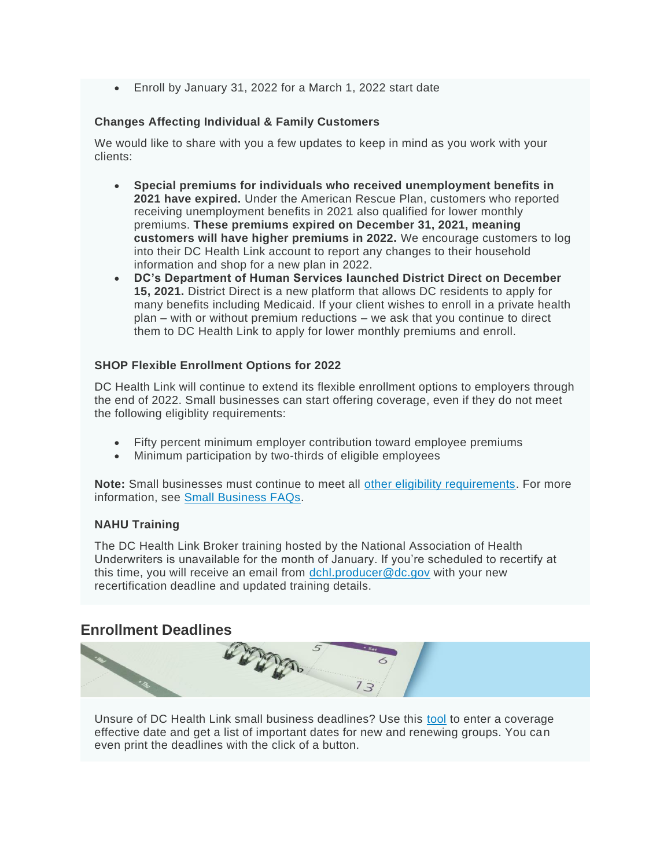• Enroll by January 31, 2022 for a March 1, 2022 start date

#### **Changes Affecting Individual & Family Customers**

We would like to share with you a few updates to keep in mind as you work with your clients:

- **Special premiums for individuals who received unemployment benefits in 2021 have expired.** Under the American Rescue Plan, customers who reported receiving unemployment benefits in 2021 also qualified for lower monthly premiums. **These premiums expired on December 31, 2021, meaning customers will have higher premiums in 2022.** We encourage customers to log into their DC Health Link account to report any changes to their household information and shop for a new plan in 2022.
- **DC's Department of Human Services launched District Direct on December 15, 2021.** District Direct is a new platform that allows DC residents to apply for many benefits including Medicaid. If your client wishes to enroll in a private health plan – with or without premium reductions – we ask that you continue to direct them to DC Health Link to apply for lower monthly premiums and enroll.

#### **SHOP Flexible Enrollment Options for 2022**

DC Health Link will continue to extend its flexible enrollment options to employers through the end of 2022. Small businesses can start offering coverage, even if they do not meet the following eligiblity requirements:

- Fifty percent minimum employer contribution toward employee premiums
- Minimum participation by two-thirds of eligible employees

Note: Small businesses must continue to meet all [other eligibility requirements.](https://www.dchealthlink.com/smallbusiness/offering-coverage) For more information, see [Small Business FAQs.](https://www.dchealthlink.com/help#Employer)

### **NAHU Training**

The DC Health Link Broker training hosted by the National Association of Health Underwriters is unavailable for the month of January. If you're scheduled to recertify at this time, you will receive an email from [dchl.producer@dc.gov](mailto:dchl.producer@dc.gov) with your new recertification deadline and updated training details.

## **Enrollment Deadlines**



Unsure of DC Health Link small business deadlines? Use this [tool](https://www.dchealthlink.com/smallbusiness/employer-coverage-deadlines) to enter a coverage effective date and get a list of important dates for new and renewing groups. You can even print the deadlines with the click of a button.